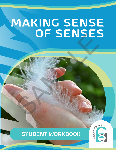# MAKING SENSE OF SENSES SAMPLE DENSE



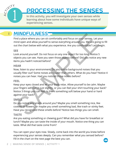

# Processing the Senses

**In this activity, you will investigate your own senses while learning about how some individuals have unique ways of experiencing senses.**

### **MINDFULNESS** 1

Find a place where you can sit comfortably and focus on your senses. Let your mind open and allow yourself to sense everything around you. We are going to fill out the chart below with what you experience. Are you comfortable? Let's begin.

# **SEE**

Look around yourself. Do not focus on any one object for too long. Notice 5 objects you can see. Have you seen those objects before? Did you notice any new items you hadn't noticed before?

# **HEAR**

Now, listen to your environment. Do you notice background noises that you usually filter out? Some noises are louder than others. What do you hear? Notice 4 noises you can hear. Had you noticed those noises before?

# **FEEL**

Keep your eyes closed and let your body relax. Allow yourself to be calm. Maybe your fingers will curl in just slightly, or you can feel your shirt touching your back? Notice 3 things you can feel. Is there something soft below your hand or hard against your back? **EXECUTE:**<br>The applace where you can sit comfortably and focus on your senses. Let you condition open and allow yourself to sense everything around you. We are goin<br>EF<br>ENECUTE: The sense with what you experience. Are you c

# **SMELL**

Do you notice any smells around you? Maybe you smell something nice, like cookies or flowers, or maybe you smell something bad, like trash or stinky feet. Have you recognized these smells before? Notice two things you can smell.

# **TASTE**

Are you eating something or chewing gum? What did you have for breakfast or lunch? Maybe you can taste the inside of your mouth. Notice one thing you can taste. What did that taste come from?

You can open your eyes now. Slowly, come back into the world you knew before experiencing your senses deeply. Can you remember what you sensed before? Fill in the chart on the next page the best you can.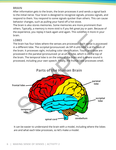### **BRAIN**

After information gets to the brain, the brain processes it and sends a signal back to the initial nerve. Your brain is designed to recognize signals, process signals, and respond to them. You respond to some signals quicker than others. This can cause behavior changes, such as pulling your hand off a hot stove.

The brain is also stores memories. Some memories are more prominent than others. Typically, a memory is more vivid is if you felt great joy or pain. Because of the experience, you replay it back again and again. This solidifies it more in your brain.

### **LOBES**

The brain has four lobes where the senses are processed. Each sense is processed in a different lobe. The occipital (pronounced: ok-SIP-it-uhl) lobe is at the back of the brain. It processes sight, including color identification. Touch and taste are processed in the parietal (pronounced: pr-ai-uh-tl) lobe, which is on the top of the brain. The temporal lobe is on the sides of the brain and is where sound is processed, including your own speech. Finally, the frontal lobe processes smell.



It can be easier to understand the brain with a model, including where the lobes are and what each lobe processes, so let's make a model.